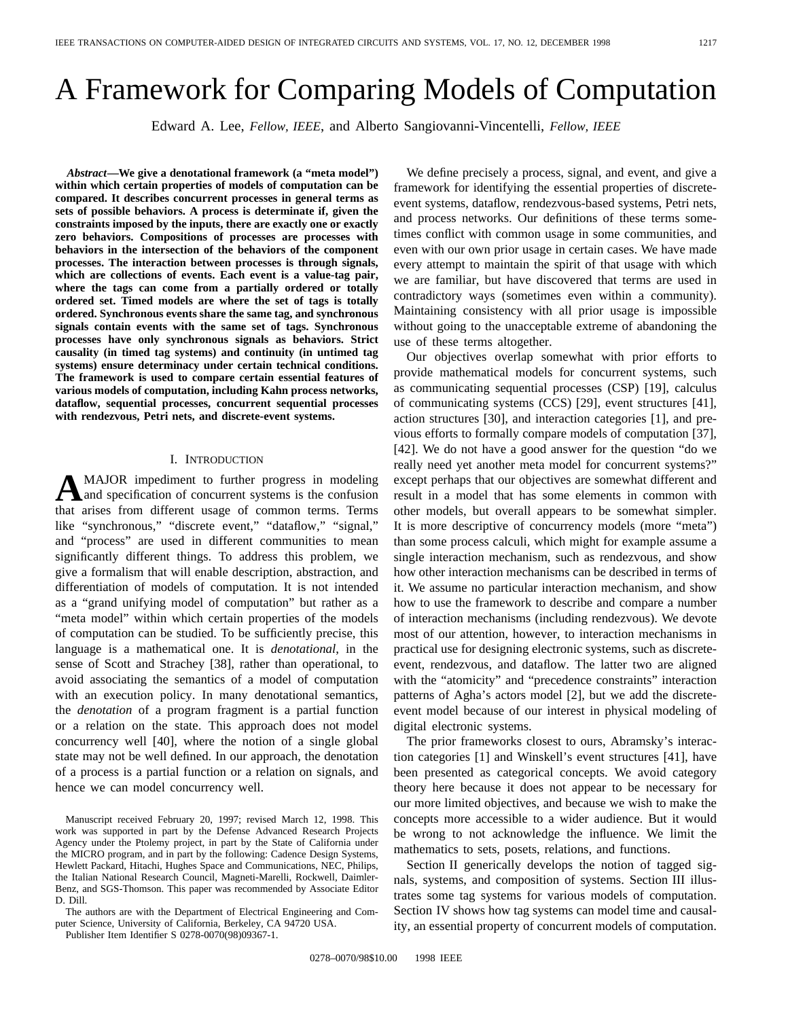# A Framework for Comparing Models of Computation

Edward A. Lee, *Fellow, IEEE*, and Alberto Sangiovanni-Vincentelli, *Fellow, IEEE*

*Abstract—***We give a denotational framework (a "meta model") within which certain properties of models of computation can be compared. It describes concurrent processes in general terms as sets of possible behaviors. A process is determinate if, given the constraints imposed by the inputs, there are exactly one or exactly zero behaviors. Compositions of processes are processes with behaviors in the intersection of the behaviors of the component processes. The interaction between processes is through signals, which are collections of events. Each event is a value-tag pair, where the tags can come from a partially ordered or totally ordered set. Timed models are where the set of tags is totally ordered. Synchronous events share the same tag, and synchronous signals contain events with the same set of tags. Synchronous processes have only synchronous signals as behaviors. Strict causality (in timed tag systems) and continuity (in untimed tag systems) ensure determinacy under certain technical conditions. The framework is used to compare certain essential features of various models of computation, including Kahn process networks, dataflow, sequential processes, concurrent sequential processes with rendezvous, Petri nets, and discrete-event systems.**

## I. INTRODUCTION

**A**MAJOR impediment to further progress in modeling and specification of concurrent systems is the confusion that arises from different usage of common terms. Terms like "synchronous," "discrete event," "dataflow," "signal," and "process" are used in different communities to mean significantly different things. To address this problem, we give a formalism that will enable description, abstraction, and differentiation of models of computation. It is not intended as a "grand unifying model of computation" but rather as a "meta model" within which certain properties of the models of computation can be studied. To be sufficiently precise, this language is a mathematical one. It is *denotational*, in the sense of Scott and Strachey [38], rather than operational, to avoid associating the semantics of a model of computation with an execution policy. In many denotational semantics, the *denotation* of a program fragment is a partial function or a relation on the state. This approach does not model concurrency well [40], where the notion of a single global state may not be well defined. In our approach, the denotation of a process is a partial function or a relation on signals, and hence we can model concurrency well.

The authors are with the Department of Electrical Engineering and Computer Science, University of California, Berkeley, CA 94720 USA.

Publisher Item Identifier S 0278-0070(98)09367-1.

We define precisely a process, signal, and event, and give a framework for identifying the essential properties of discreteevent systems, dataflow, rendezvous-based systems, Petri nets, and process networks. Our definitions of these terms sometimes conflict with common usage in some communities, and even with our own prior usage in certain cases. We have made every attempt to maintain the spirit of that usage with which we are familiar, but have discovered that terms are used in contradictory ways (sometimes even within a community). Maintaining consistency with all prior usage is impossible without going to the unacceptable extreme of abandoning the use of these terms altogether.

Our objectives overlap somewhat with prior efforts to provide mathematical models for concurrent systems, such as communicating sequential processes (CSP) [19], calculus of communicating systems (CCS) [29], event structures [41], action structures [30], and interaction categories [1], and previous efforts to formally compare models of computation [37], [42]. We do not have a good answer for the question "do we really need yet another meta model for concurrent systems?" except perhaps that our objectives are somewhat different and result in a model that has some elements in common with other models, but overall appears to be somewhat simpler. It is more descriptive of concurrency models (more "meta") than some process calculi, which might for example assume a single interaction mechanism, such as rendezvous, and show how other interaction mechanisms can be described in terms of it. We assume no particular interaction mechanism, and show how to use the framework to describe and compare a number of interaction mechanisms (including rendezvous). We devote most of our attention, however, to interaction mechanisms in practical use for designing electronic systems, such as discreteevent, rendezvous, and dataflow. The latter two are aligned with the "atomicity" and "precedence constraints" interaction patterns of Agha's actors model [2], but we add the discreteevent model because of our interest in physical modeling of digital electronic systems.

The prior frameworks closest to ours, Abramsky's interaction categories [1] and Winskell's event structures [41], have been presented as categorical concepts. We avoid category theory here because it does not appear to be necessary for our more limited objectives, and because we wish to make the concepts more accessible to a wider audience. But it would be wrong to not acknowledge the influence. We limit the mathematics to sets, posets, relations, and functions.

Section II generically develops the notion of tagged signals, systems, and composition of systems. Section III illustrates some tag systems for various models of computation. Section IV shows how tag systems can model time and causality, an essential property of concurrent models of computation.

Manuscript received February 20, 1997; revised March 12, 1998. This work was supported in part by the Defense Advanced Research Projects Agency under the Ptolemy project, in part by the State of California under the MICRO program, and in part by the following: Cadence Design Systems, Hewlett Packard, Hitachi, Hughes Space and Communications, NEC, Philips, the Italian National Research Council, Magneti-Marelli, Rockwell, Daimler-Benz, and SGS-Thomson. This paper was recommended by Associate Editor D. Dill.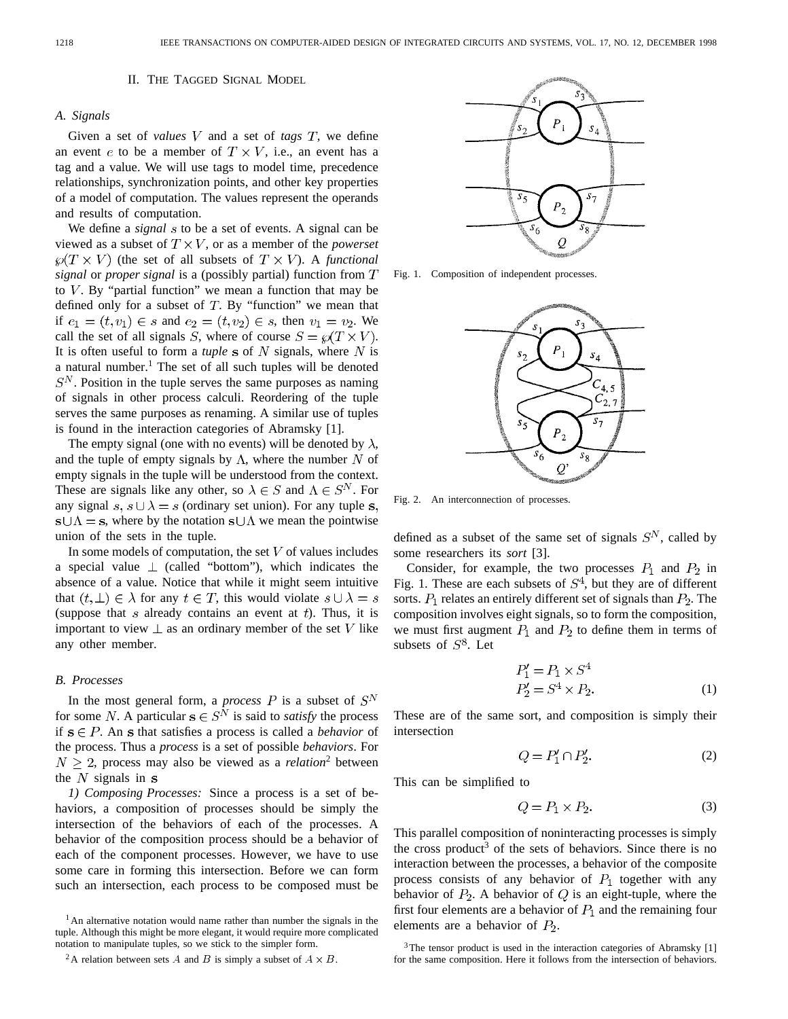## II. THE TAGGED SIGNAL MODEL

## *A. Signals*

Given a set of *values*  $V$  and a set of *tags*  $T$ , we define an event e to be a member of  $T \times V$ , i.e., an event has a tag and a value. We will use tags to model time, precedence relationships, synchronization points, and other key properties of a model of computation. The values represent the operands and results of computation.

We define a *signal* s to be a set of events. A signal can be viewed as a subset of  $T \times V$ , or as a member of the *powerset*  $\wp(T \times V)$  (the set of all subsets of  $T \times V$ ). A *functional signal* or *proper signal* is a (possibly partial) function from to  $V$ . By "partial function" we mean a function that may be defined only for a subset of  $T$ . By "function" we mean that if  $e_1 = (t, v_1) \in s$  and  $e_2 = (t, v_2) \in s$ , then  $v_1 = v_2$ . We call the set of all signals S, where of course  $S = \wp(T \times V)$ . It is often useful to form a *tuple*  $s$  of  $N$  signals, where  $N$  is a natural number.<sup>1</sup> The set of all such tuples will be denoted  $S<sup>N</sup>$ . Position in the tuple serves the same purposes as naming of signals in other process calculi. Reordering of the tuple serves the same purposes as renaming. A similar use of tuples is found in the interaction categories of Abramsky [1].

The empty signal (one with no events) will be denoted by  $\lambda$ , and the tuple of empty signals by  $\Lambda$ , where the number N of empty signals in the tuple will be understood from the context. These are signals like any other, so  $\lambda \in S$  and  $\Lambda \in S^N$ . For any signal  $s, s \cup \lambda = s$  (ordinary set union). For any tuple s,  $s \cup \Lambda = s$ , where by the notation  $s \cup \Lambda$  we mean the pointwise union of the sets in the tuple.

In some models of computation, the set  $V$  of values includes a special value  $\perp$  (called "bottom"), which indicates the absence of a value. Notice that while it might seem intuitive that  $(t, \perp) \in \lambda$  for any  $t \in T$ , this would violate  $s \cup \lambda = s$ (suppose that  $s$  already contains an event at  $t$ ). Thus, it is important to view  $\perp$  as an ordinary member of the set V like any other member.

## *B. Processes*

In the most general form, a *process*  $P$  is a subset of for some N. A particular  $s \in S^N$  is said to *satisfy* the process if  $s \in P$ . An s that satisfies a process is called a *behavior* of the process. Thus a *process* is a set of possible *behaviors*. For  $N \geq 2$ , process may also be viewed as a *relation*<sup>2</sup> between the  $N$  signals in  $s$ 

*1) Composing Processes:* Since a process is a set of behaviors, a composition of processes should be simply the intersection of the behaviors of each of the processes. A behavior of the composition process should be a behavior of each of the component processes. However, we have to use some care in forming this intersection. Before we can form such an intersection, each process to be composed must be



Fig. 1. Composition of independent processes.



Fig. 2. An interconnection of processes.

defined as a subset of the same set of signals  $S<sup>N</sup>$ , called by some researchers its *sort* [3].

Consider, for example, the two processes  $P_1$  and  $P_2$  in Fig. 1. These are each subsets of  $S<sup>4</sup>$ , but they are of different sorts.  $P_1$  relates an entirely different set of signals than  $P_2$ . The composition involves eight signals, so to form the composition, we must first augment  $P_1$  and  $P_2$  to define them in terms of subsets of  $S^8$ . Let

$$
P'_1 = P_1 \times S^4
$$
  
\n
$$
P'_2 = S^4 \times P_2.
$$
 (1)

These are of the same sort, and composition is simply their intersection

$$
Q = P_1' \cap P_2'.\tag{2}
$$

This can be simplified to

$$
Q = P_1 \times P_2. \tag{3}
$$

This parallel composition of noninteracting processes is simply the cross product<sup>3</sup> of the sets of behaviors. Since there is no interaction between the processes, a behavior of the composite process consists of any behavior of  $P_1$  together with any behavior of  $P_2$ . A behavior of  $Q$  is an eight-tuple, where the first four elements are a behavior of  $P_1$  and the remaining four elements are a behavior of  $P_2$ .

 $<sup>1</sup>$ An alternative notation would name rather than number the signals in the</sup> tuple. Although this might be more elegant, it would require more complicated notation to manipulate tuples, so we stick to the simpler form.

<sup>&</sup>lt;sup>2</sup>A relation between sets A and B is simply a subset of  $A \times B$ .

 $3$ The tensor product is used in the interaction categories of Abramsky [1] for the same composition. Here it follows from the intersection of behaviors.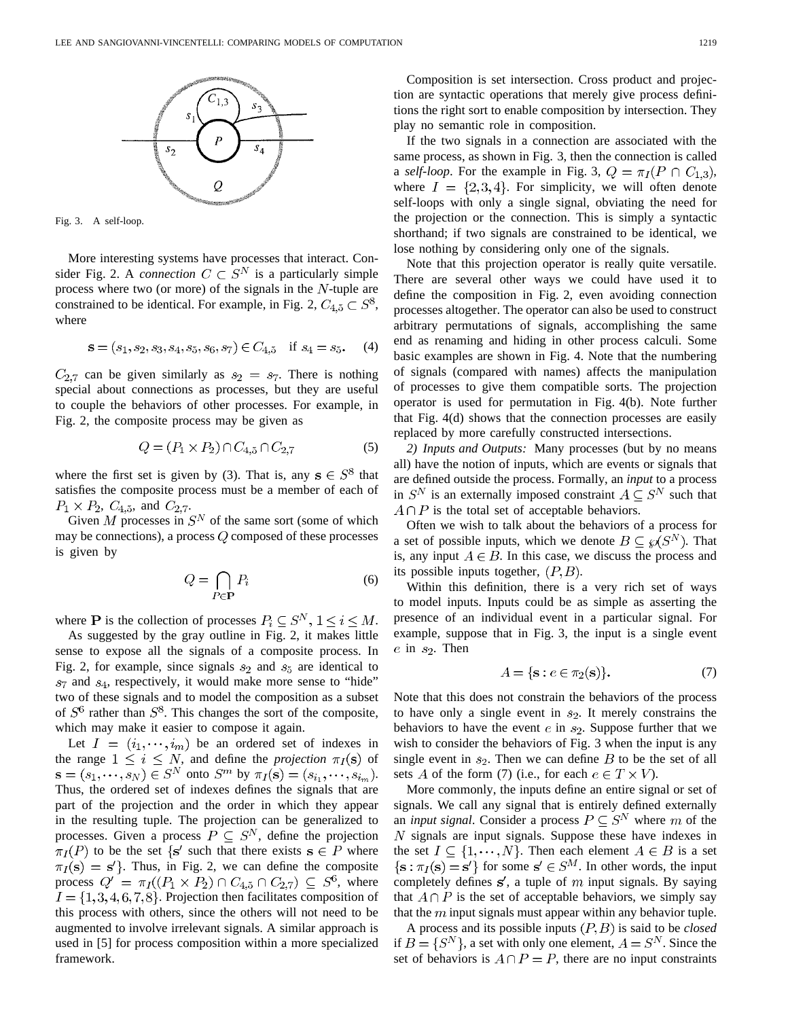



More interesting systems have processes that interact. Consider Fig. 2. A *connection*  $C \subset S^N$  is a particularly simple process where two (or more) of the signals in the  $N$ -tuple are constrained to be identical. For example, in Fig. 2,  $C_{4.5} \subset S^8$ , where

$$
\mathbf{s} = (s_1, s_2, s_3, s_4, s_5, s_6, s_7) \in C_{4,5} \quad \text{if } s_4 = s_5. \tag{4}
$$

 $C_{2,7}$  can be given similarly as  $s_2 = s_7$ . There is nothing special about connections as processes, but they are useful to couple the behaviors of other processes. For example, in Fig. 2, the composite process may be given as

$$
Q = (P_1 \times P_2) \cap C_{4,5} \cap C_{2,7} \tag{5}
$$

where the first set is given by (3). That is, any  $s \in S^8$  that satisfies the composite process must be a member of each of  $P_1 \times P_2$ ,  $C_{4,5}$ , and  $C_{2,7}$ .

Given M processes in  $S<sup>N</sup>$  of the same sort (some of which may be connections), a process  $Q$  composed of these processes is given by

$$
Q = \bigcap_{P \in \mathbf{P}} P_i \tag{6}
$$

where **P** is the collection of processes  $P_i \subseteq S^N$ ,  $1 \le i \le M$ .

As suggested by the gray outline in Fig. 2, it makes little sense to expose all the signals of a composite process. In Fig. 2, for example, since signals  $s_2$  and  $s_5$  are identical to  $s<sub>7</sub>$  and  $s<sub>4</sub>$ , respectively, it would make more sense to "hide" two of these signals and to model the composition as a subset of  $S^6$  rather than  $S^8$ . This changes the sort of the composite, which may make it easier to compose it again.

Let  $I = (i_1, \dots, i_m)$  be an ordered set of indexes in the range  $1 \leq i \leq N$ , and define the *projection*  $\pi_I(\mathbf{s})$  of onto  $S^m$  by  $\pi_I(\mathbf{s}) = (s_{i_1}, \dots, s_{i_m}).$ Thus, the ordered set of indexes defines the signals that are part of the projection and the order in which they appear in the resulting tuple. The projection can be generalized to processes. Given a process  $P \subseteq S^N$ , define the projection  $\pi_I(P)$  to be the set  $\{s'$  such that there exists  $s \in P$  where  $\pi_I(s) = s'$ . Thus, in Fig. 2, we can define the composite process  $Q' = \pi_I((P_1 \times P_2) \cap C_{4,5} \cap C_{2,7}) \subseteq S^6$ , where  $I = \{1, 3, 4, 6, 7, 8\}$ . Projection then facilitates composition of this process with others, since the others will not need to be augmented to involve irrelevant signals. A similar approach is used in [5] for process composition within a more specialized framework.

Composition is set intersection. Cross product and projection are syntactic operations that merely give process definitions the right sort to enable composition by intersection. They play no semantic role in composition.

If the two signals in a connection are associated with the same process, as shown in Fig. 3, then the connection is called a *self-loop*. For the example in Fig. 3,  $Q = \pi_I (P \cap C_{1,3})$ , where  $I = \{2, 3, 4\}$ . For simplicity, we will often denote self-loops with only a single signal, obviating the need for the projection or the connection. This is simply a syntactic shorthand; if two signals are constrained to be identical, we lose nothing by considering only one of the signals.

Note that this projection operator is really quite versatile. There are several other ways we could have used it to define the composition in Fig. 2, even avoiding connection processes altogether. The operator can also be used to construct arbitrary permutations of signals, accomplishing the same end as renaming and hiding in other process calculi. Some basic examples are shown in Fig. 4. Note that the numbering of signals (compared with names) affects the manipulation of processes to give them compatible sorts. The projection operator is used for permutation in Fig. 4(b). Note further that Fig. 4(d) shows that the connection processes are easily replaced by more carefully constructed intersections.

*2) Inputs and Outputs:* Many processes (but by no means all) have the notion of inputs, which are events or signals that are defined outside the process. Formally, an *input* to a process in  $S^N$  is an externally imposed constraint  $A \subseteq S^N$  such that  $A \cap P$  is the total set of acceptable behaviors.

Often we wish to talk about the behaviors of a process for a set of possible inputs, which we denote  $B \subseteq \wp(S^N)$ . That is, any input  $A \in B$ . In this case, we discuss the process and its possible inputs together,  $(P, B)$ .

Within this definition, there is a very rich set of ways to model inputs. Inputs could be as simple as asserting the presence of an individual event in a particular signal. For example, suppose that in Fig. 3, the input is a single event  $e$  in  $s_2$ . Then

$$
A = \{ \mathbf{s} : e \in \pi_2(\mathbf{s}) \}. \tag{7}
$$

Note that this does not constrain the behaviors of the process to have only a single event in  $s_2$ . It merely constrains the behaviors to have the event  $e$  in  $s_2$ . Suppose further that we wish to consider the behaviors of Fig. 3 when the input is any single event in  $s_2$ . Then we can define B to be the set of all sets A of the form (7) (i.e., for each  $e \in T \times V$ ).

More commonly, the inputs define an entire signal or set of signals. We call any signal that is entirely defined externally an *input signal*. Consider a process  $P \subseteq S^N$  where m of the  $N$  signals are input signals. Suppose these have indexes in the set  $I \subseteq \{1, \dots, N\}$ . Then each element  $A \in B$  is a set  $\{\mathbf{s} : \pi_I(\mathbf{s}) = \mathbf{s}'\}\$ for some  $\mathbf{s}' \in S^M$ . In other words, the input completely defines  $s'$ , a tuple of m input signals. By saying that  $A \cap P$  is the set of acceptable behaviors, we simply say that the  $m$  input signals must appear within any behavior tuple.

A process and its possible inputs  $(P, B)$  is said to be *closed* if  $B = \{S^N\}$ , a set with only one element,  $A = S^N$ . Since the set of behaviors is  $A \cap P = P$ , there are no input constraints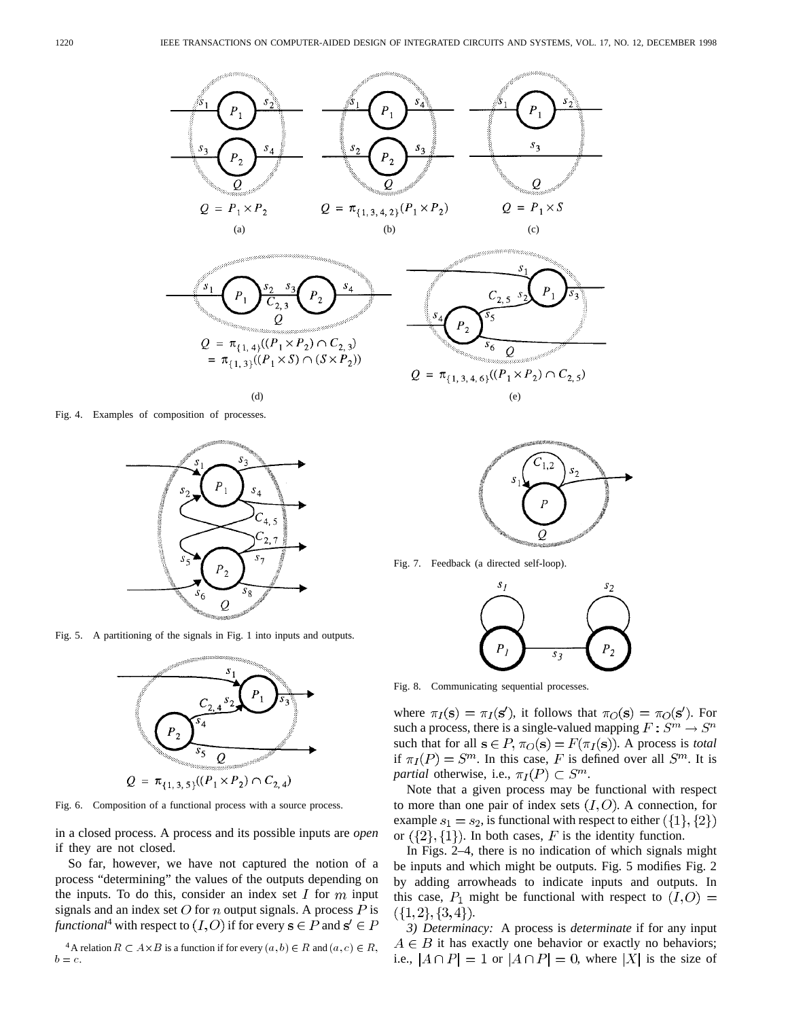

Fig. 4. Examples of composition of processes.



Fig. 5. A partitioning of the signals in Fig. 1 into inputs and outputs.



Fig. 6. Composition of a functional process with a source process.

in a closed process. A process and its possible inputs are *open* if they are not closed.

So far, however, we have not captured the notion of a process "determining" the values of the outputs depending on the inputs. To do this, consider an index set  $I$  for  $m$  input signals and an index set O for n output signals. A process  $P$  is *functional*<sup>4</sup> with respect to  $(I, O)$  if for every  $s \in P$  and  $s' \in P$ 

<sup>4</sup> A relation  $R \subset A \times B$  is a function if for every  $(a, b) \in R$  and  $(a, c) \in R$ ,  $b = c$ .



Fig. 7. Feedback (a directed self-loop).



Fig. 8. Communicating sequential processes.

where  $\pi_I(\mathbf{s}) = \pi_I(\mathbf{s}')$ , it follows that  $\pi_O(\mathbf{s}) = \pi_O(\mathbf{s}')$ . For such a process, there is a single-valued mapping  $F: S^m \to S^n$ such that for all  $\mathbf{s} \in P$ ,  $\pi_O(\mathbf{s}) = F(\pi_I(\mathbf{s}))$ . A process is *total* if  $\pi_I(P) = S^m$ . In this case, F is defined over all  $S^m$ . It is *partial* otherwise, i.e.,  $\pi_I(P) \subset S^m$ .

Note that a given process may be functional with respect to more than one pair of index sets  $(I, O)$ . A connection, for example  $s_1 = s_2$ , is functional with respect to either  $({1}, {2})$ or  $({2}, {1})$ . In both cases, F is the identity function.

In Figs. 2–4, there is no indication of which signals might be inputs and which might be outputs. Fig. 5 modifies Fig. 2 by adding arrowheads to indicate inputs and outputs. In this case,  $P_1$  might be functional with respect to  $(I, O)$  =  $({1,2}, {3,4}).$ 

*3) Determinacy:* A process is *determinate* if for any input  $A \in B$  it has exactly one behavior or exactly no behaviors; i.e.,  $|A \cap P| = 1$  or  $|A \cap P| = 0$ , where  $|X|$  is the size of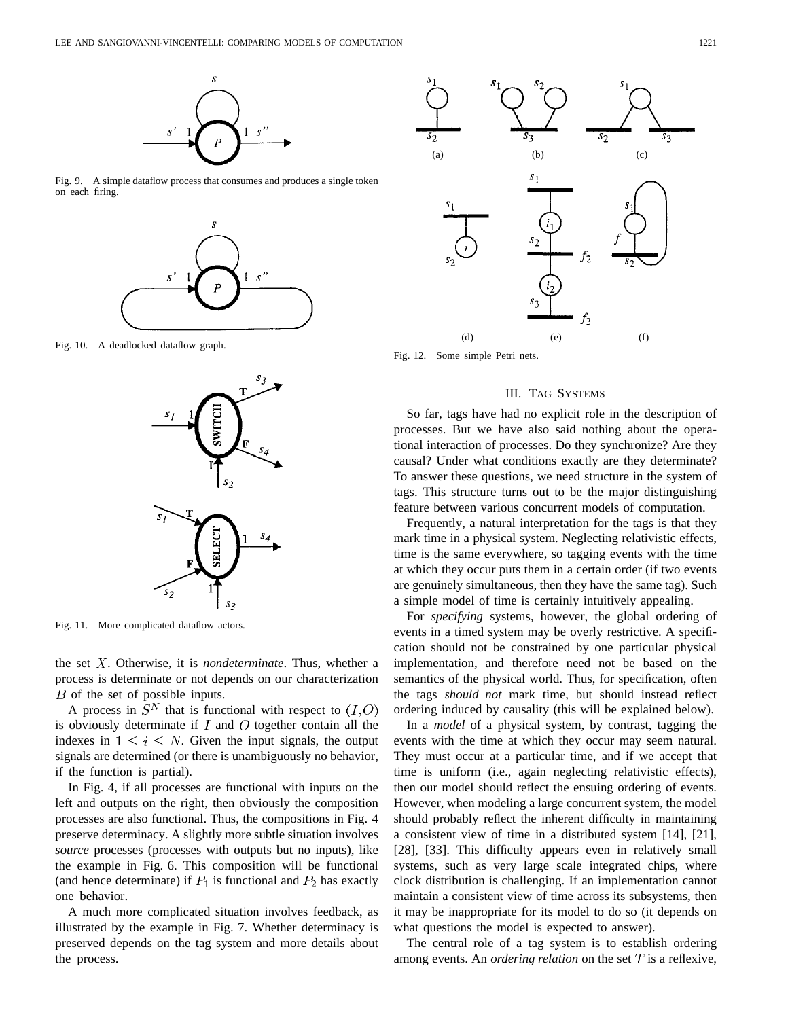

Fig. 9. A simple dataflow process that consumes and produces a single token on each firing.



Fig. 10. A deadlocked dataflow graph.



Fig. 11. More complicated dataflow actors.

the set  $X$ . Otherwise, it is *nondeterminate*. Thus, whether a process is determinate or not depends on our characterization  $B$  of the set of possible inputs.

A process in  $S^N$  that is functional with respect to  $(I, O)$ is obviously determinate if  $I$  and  $O$  together contain all the indexes in  $1 \leq i \leq N$ . Given the input signals, the output signals are determined (or there is unambiguously no behavior, if the function is partial).

In Fig. 4, if all processes are functional with inputs on the left and outputs on the right, then obviously the composition processes are also functional. Thus, the compositions in Fig. 4 preserve determinacy. A slightly more subtle situation involves *source* processes (processes with outputs but no inputs), like the example in Fig. 6. This composition will be functional (and hence determinate) if  $P_1$  is functional and  $P_2$  has exactly one behavior.

A much more complicated situation involves feedback, as illustrated by the example in Fig. 7. Whether determinacy is preserved depends on the tag system and more details about the process.



Fig. 12. Some simple Petri nets.

## III. TAG SYSTEMS

So far, tags have had no explicit role in the description of processes. But we have also said nothing about the operational interaction of processes. Do they synchronize? Are they causal? Under what conditions exactly are they determinate? To answer these questions, we need structure in the system of tags. This structure turns out to be the major distinguishing feature between various concurrent models of computation.

Frequently, a natural interpretation for the tags is that they mark time in a physical system. Neglecting relativistic effects, time is the same everywhere, so tagging events with the time at which they occur puts them in a certain order (if two events are genuinely simultaneous, then they have the same tag). Such a simple model of time is certainly intuitively appealing.

For *specifying* systems, however, the global ordering of events in a timed system may be overly restrictive. A specification should not be constrained by one particular physical implementation, and therefore need not be based on the semantics of the physical world. Thus, for specification, often the tags *should not* mark time, but should instead reflect ordering induced by causality (this will be explained below).

In a *model* of a physical system, by contrast, tagging the events with the time at which they occur may seem natural. They must occur at a particular time, and if we accept that time is uniform (i.e., again neglecting relativistic effects), then our model should reflect the ensuing ordering of events. However, when modeling a large concurrent system, the model should probably reflect the inherent difficulty in maintaining a consistent view of time in a distributed system [14], [21], [28], [33]. This difficulty appears even in relatively small systems, such as very large scale integrated chips, where clock distribution is challenging. If an implementation cannot maintain a consistent view of time across its subsystems, then it may be inappropriate for its model to do so (it depends on what questions the model is expected to answer).

The central role of a tag system is to establish ordering among events. An *ordering relation* on the set  $T$  is a reflexive,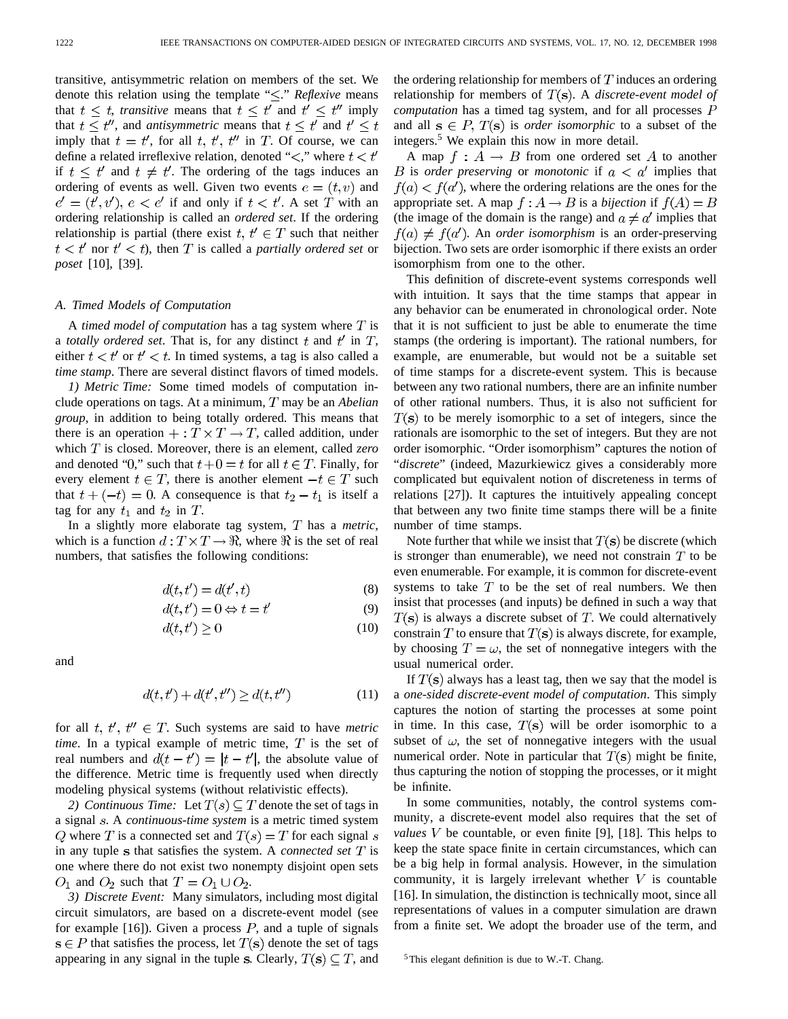transitive, antisymmetric relation on members of the set. We denote this relation using the template "
setalling" *Reflexive* means that  $t \leq t$ , *transitive* means that  $t \leq t'$  and  $t' \leq t''$  imply that  $t \leq t''$ , and *antisymmetric* means that  $t \leq t'$  and  $t' \leq t$ imply that  $t = t'$ , for all t, t', t'' in T. Of course, we can define a related irreflexive relation, denoted " $\lt$ ," where  $t \lt t'$ if  $t \leq t'$  and  $t \neq t'$ . The ordering of the tags induces an ordering of events as well. Given two events  $e = (t, v)$  and  $e' = (t', v'), e < e'$  if and only if  $t < t'$ . A set T with an ordering relationship is called an *ordered set*. If the ordering relationship is partial (there exist  $t, t' \in T$  such that neither  $t < t'$  nor  $t' < t$ ), then T is called a *partially ordered set* or *poset* [10], [39].

## *A. Timed Models of Computation*

A *timed model of computation* has a tag system where  $T$  is a *totally ordered set*. That is, for any distinct  $t$  and  $t'$  in  $T$ , either  $t < t'$  or  $t' < t$ . In timed systems, a tag is also called a *time stamp*. There are several distinct flavors of timed models.

*1) Metric Time:* Some timed models of computation include operations on tags. At a minimum,  $T$  may be an *Abelian group*, in addition to being totally ordered. This means that there is an operation  $+: T \times T \to T$ , called addition, under which T is closed. Moreover, there is an element, called *zero* and denoted "0," such that  $t+0=t$  for all  $t\in T$ . Finally, for every element  $t \in T$ , there is another element  $-t \in T$  such that  $t + (-t) = 0$ . A consequence is that  $t_2 - t_1$  is itself a tag for any  $t_1$  and  $t_2$  in  $T$ .

In a slightly more elaborate tag system,  $T$  has a *metric*, which is a function  $d: T \times T \to \mathbb{R}$ , where  $\mathbb{R}$  is the set of real numbers, that satisfies the following conditions:

$$
d(t, t') = d(t', t) \tag{8}
$$

$$
d(t, t') = 0 \Leftrightarrow t = t'
$$
\n(9)

$$
d(t, t') \ge 0\tag{10}
$$

and

$$
d(t, t') + d(t', t'') \ge d(t, t'')
$$
\n(11)

for all  $t, t', t'' \in T$ . Such systems are said to have *metric time*. In a typical example of metric time,  $T$  is the set of real numbers and  $d(t - t') = |t - t'|$ , the absolute value of the difference. Metric time is frequently used when directly modeling physical systems (without relativistic effects).

2) Continuous Time: Let  $T(s) \subseteq T$  denote the set of tags in a signal s. A *continuous-time system* is a metric timed system Q where T is a connected set and  $T(s) = T$  for each signal s in any tuple  $s$  that satisfies the system. A *connected set*  $T$  is one where there do not exist two nonempty disjoint open sets  $O_1$  and  $O_2$  such that  $T = O_1 \cup O_2$ .

*3) Discrete Event:* Many simulators, including most digital circuit simulators, are based on a discrete-event model (see for example [16]). Given a process  $P$ , and a tuple of signals  $s \in P$  that satisfies the process, let  $T(s)$  denote the set of tags appearing in any signal in the tuple s. Clearly,  $T(s) \subseteq T$ , and the ordering relationship for members of  $T$  induces an ordering relationship for members of  $T(s)$ . A *discrete-event model of computation* has a timed tag system, and for all processes P and all  $s \in P$ ,  $T(s)$  is *order isomorphic* to a subset of the integers.<sup>5</sup> We explain this now in more detail.

A map  $f: A \rightarrow B$  from one ordered set A to another B is *order preserving* or *monotonic* if  $a < a'$  implies that  $f(a) < f(a')$ , where the ordering relations are the ones for the appropriate set. A map  $f: A \to B$  is a *bijection* if  $f(A) = B$ (the image of the domain is the range) and  $a \neq a'$  implies that  $f(a) \neq f(a')$ . An *order isomorphism* is an order-preserving bijection. Two sets are order isomorphic if there exists an order isomorphism from one to the other.

This definition of discrete-event systems corresponds well with intuition. It says that the time stamps that appear in any behavior can be enumerated in chronological order. Note that it is not sufficient to just be able to enumerate the time stamps (the ordering is important). The rational numbers, for example, are enumerable, but would not be a suitable set of time stamps for a discrete-event system. This is because between any two rational numbers, there are an infinite number of other rational numbers. Thus, it is also not sufficient for  $T(s)$  to be merely isomorphic to a set of integers, since the rationals are isomorphic to the set of integers. But they are not order isomorphic. "Order isomorphism" captures the notion of "*discrete*" (indeed, Mazurkiewicz gives a considerably more complicated but equivalent notion of discreteness in terms of relations [27]). It captures the intuitively appealing concept that between any two finite time stamps there will be a finite number of time stamps.

Note further that while we insist that  $T(s)$  be discrete (which is stronger than enumerable), we need not constrain  $T$  to be even enumerable. For example, it is common for discrete-event systems to take  $T$  to be the set of real numbers. We then insist that processes (and inputs) be defined in such a way that  $T(s)$  is always a discrete subset of T. We could alternatively constrain T to ensure that  $T(s)$  is always discrete, for example, by choosing  $T = \omega$ , the set of nonnegative integers with the usual numerical order.

If  $T(s)$  always has a least tag, then we say that the model is a *one-sided discrete-event model of computation*. This simply captures the notion of starting the processes at some point in time. In this case,  $T(s)$  will be order isomorphic to a subset of  $\omega$ , the set of nonnegative integers with the usual numerical order. Note in particular that  $T(s)$  might be finite, thus capturing the notion of stopping the processes, or it might be infinite.

In some communities, notably, the control systems community, a discrete-event model also requires that the set of *values*  $V$  be countable, or even finite [9], [18]. This helps to keep the state space finite in certain circumstances, which can be a big help in formal analysis. However, in the simulation community, it is largely irrelevant whether  $V$  is countable [16]. In simulation, the distinction is technically moot, since all representations of values in a computer simulation are drawn from a finite set. We adopt the broader use of the term, and

<sup>5</sup>This elegant definition is due to W.-T. Chang.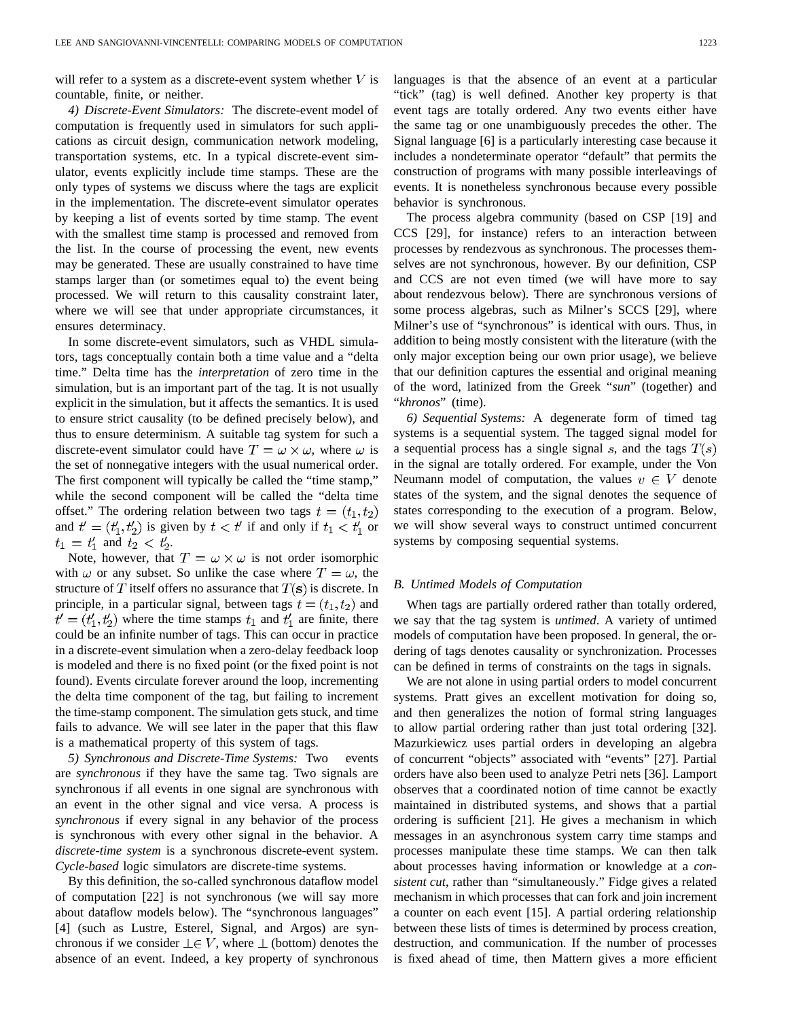will refer to a system as a discrete-event system whether  $V$  is countable, finite, or neither.

*4) Discrete-Event Simulators:* The discrete-event model of computation is frequently used in simulators for such applications as circuit design, communication network modeling, transportation systems, etc. In a typical discrete-event simulator, events explicitly include time stamps. These are the only types of systems we discuss where the tags are explicit in the implementation. The discrete-event simulator operates by keeping a list of events sorted by time stamp. The event with the smallest time stamp is processed and removed from the list. In the course of processing the event, new events may be generated. These are usually constrained to have time stamps larger than (or sometimes equal to) the event being processed. We will return to this causality constraint later, where we will see that under appropriate circumstances, it ensures determinacy.

In some discrete-event simulators, such as VHDL simulators, tags conceptually contain both a time value and a "delta time." Delta time has the *interpretation* of zero time in the simulation, but is an important part of the tag. It is not usually explicit in the simulation, but it affects the semantics. It is used to ensure strict causality (to be defined precisely below), and thus to ensure determinism. A suitable tag system for such a discrete-event simulator could have  $T = \omega \times \omega$ , where  $\omega$  is the set of nonnegative integers with the usual numerical order. The first component will typically be called the "time stamp," while the second component will be called the "delta time offset." The ordering relation between two tags  $t = (t_1, t_2)$ and  $t' = (t'_1, t'_2)$  is given by  $t < t'$  if and only if  $t_1 < t'_1$  or  $t_1 = t'_1$  and  $t_2 < t'_2$ .

Note, however, that  $T = \omega \times \omega$  is not order isomorphic with  $\omega$  or any subset. So unlike the case where  $T = \omega$ , the structure of T itself offers no assurance that  $T(s)$  is discrete. In principle, in a particular signal, between tags  $t = (t_1, t_2)$  and  $t' = (t'_1, t'_2)$  where the time stamps  $t_1$  and  $t'_1$  are finite, there could be an infinite number of tags. This can occur in practice in a discrete-event simulation when a zero-delay feedback loop is modeled and there is no fixed point (or the fixed point is not found). Events circulate forever around the loop, incrementing the delta time component of the tag, but failing to increment the time-stamp component. The simulation gets stuck, and time fails to advance. We will see later in the paper that this flaw is a mathematical property of this system of tags.

*5) Synchronous and Discrete-Time Systems:* Two events are *synchronous* if they have the same tag. Two signals are synchronous if all events in one signal are synchronous with an event in the other signal and vice versa. A process is *synchronous* if every signal in any behavior of the process is synchronous with every other signal in the behavior. A *discrete-time system* is a synchronous discrete-event system. *Cycle-based* logic simulators are discrete-time systems.

By this definition, the so-called synchronous dataflow model of computation [22] is not synchronous (we will say more about dataflow models below). The "synchronous languages" [4] (such as Lustre, Esterel, Signal, and Argos) are synchronous if we consider  $\bot \in V$ , where  $\bot$  (bottom) denotes the absence of an event. Indeed, a key property of synchronous languages is that the absence of an event at a particular "tick" (tag) is well defined. Another key property is that event tags are totally ordered. Any two events either have the same tag or one unambiguously precedes the other. The Signal language [6] is a particularly interesting case because it includes a nondeterminate operator "default" that permits the construction of programs with many possible interleavings of events. It is nonetheless synchronous because every possible behavior is synchronous.

The process algebra community (based on CSP [19] and CCS [29], for instance) refers to an interaction between processes by rendezvous as synchronous. The processes themselves are not synchronous, however. By our definition, CSP and CCS are not even timed (we will have more to say about rendezvous below). There are synchronous versions of some process algebras, such as Milner's SCCS [29], where Milner's use of "synchronous" is identical with ours. Thus, in addition to being mostly consistent with the literature (with the only major exception being our own prior usage), we believe that our definition captures the essential and original meaning of the word, latinized from the Greek "*sun*" (together) and "*khronos*" (time).

*6) Sequential Systems:* A degenerate form of timed tag systems is a sequential system. The tagged signal model for a sequential process has a single signal s, and the tags  $T(s)$ in the signal are totally ordered. For example, under the Von Neumann model of computation, the values  $v \in V$  denote states of the system, and the signal denotes the sequence of states corresponding to the execution of a program. Below, we will show several ways to construct untimed concurrent systems by composing sequential systems.

## *B. Untimed Models of Computation*

When tags are partially ordered rather than totally ordered, we say that the tag system is *untimed*. A variety of untimed models of computation have been proposed. In general, the ordering of tags denotes causality or synchronization. Processes can be defined in terms of constraints on the tags in signals.

We are not alone in using partial orders to model concurrent systems. Pratt gives an excellent motivation for doing so, and then generalizes the notion of formal string languages to allow partial ordering rather than just total ordering [32]. Mazurkiewicz uses partial orders in developing an algebra of concurrent "objects" associated with "events" [27]. Partial orders have also been used to analyze Petri nets [36]. Lamport observes that a coordinated notion of time cannot be exactly maintained in distributed systems, and shows that a partial ordering is sufficient [21]. He gives a mechanism in which messages in an asynchronous system carry time stamps and processes manipulate these time stamps. We can then talk about processes having information or knowledge at a *consistent cut*, rather than "simultaneously." Fidge gives a related mechanism in which processes that can fork and join increment a counter on each event [15]. A partial ordering relationship between these lists of times is determined by process creation, destruction, and communication. If the number of processes is fixed ahead of time, then Mattern gives a more efficient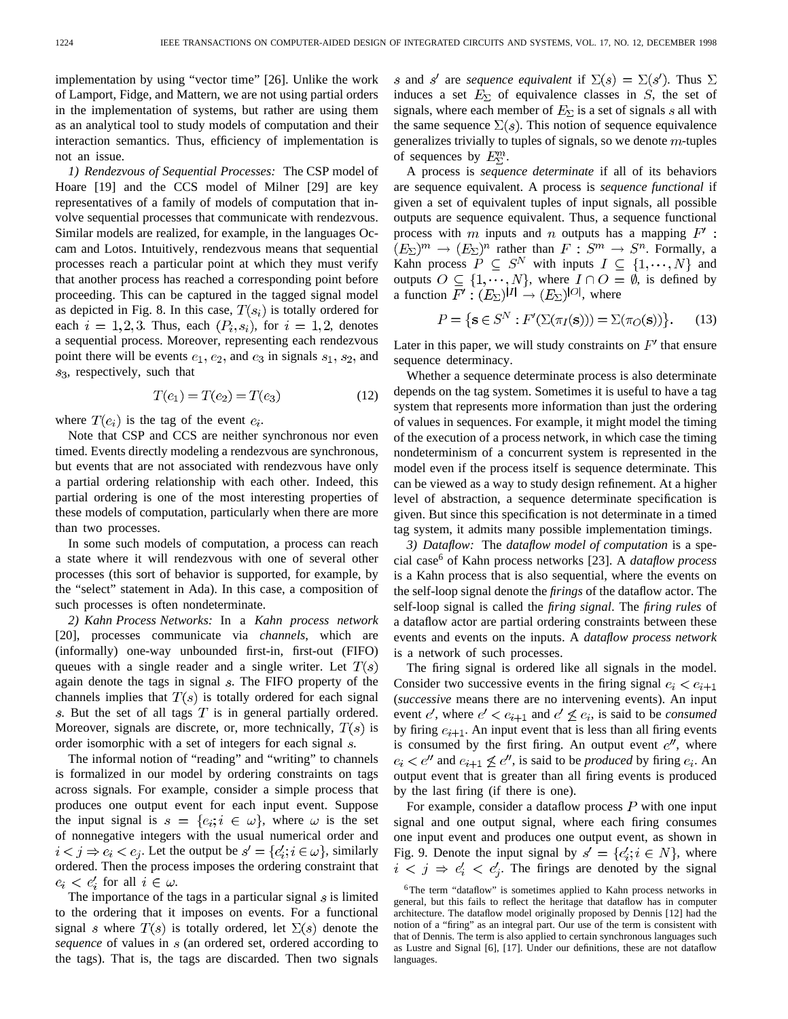implementation by using "vector time" [26]. Unlike the work of Lamport, Fidge, and Mattern, we are not using partial orders in the implementation of systems, but rather are using them as an analytical tool to study models of computation and their interaction semantics. Thus, efficiency of implementation is not an issue.

*1) Rendezvous of Sequential Processes:* The CSP model of Hoare [19] and the CCS model of Milner [29] are key representatives of a family of models of computation that involve sequential processes that communicate with rendezvous. Similar models are realized, for example, in the languages Occam and Lotos. Intuitively, rendezvous means that sequential processes reach a particular point at which they must verify that another process has reached a corresponding point before proceeding. This can be captured in the tagged signal model as depicted in Fig. 8. In this case,  $T(s_i)$  is totally ordered for each  $i = 1, 2, 3$ . Thus, each  $(P_i, s_i)$ , for  $i = 1, 2$ , denotes a sequential process. Moreover, representing each rendezvous point there will be events  $e_1, e_2$ , and  $e_3$  in signals  $s_1, s_2$ , and  $s_3$ , respectively, such that

$$
T(e_1) = T(e_2) = T(e_3)
$$
 (12)

where  $T(e_i)$  is the tag of the event  $e_i$ .

Note that CSP and CCS are neither synchronous nor even timed. Events directly modeling a rendezvous are synchronous, but events that are not associated with rendezvous have only a partial ordering relationship with each other. Indeed, this partial ordering is one of the most interesting properties of these models of computation, particularly when there are more than two processes.

In some such models of computation, a process can reach a state where it will rendezvous with one of several other processes (this sort of behavior is supported, for example, by the "select" statement in Ada). In this case, a composition of such processes is often nondeterminate.

*2) Kahn Process Networks:* In a *Kahn process network* [20], processes communicate via *channels*, which are (informally) one-way unbounded first-in, first-out (FIFO) queues with a single reader and a single writer. Let  $T(s)$ again denote the tags in signal  $s$ . The FIFO property of the channels implies that  $T(s)$  is totally ordered for each signal s. But the set of all tags  $T$  is in general partially ordered. Moreover, signals are discrete, or, more technically,  $T(s)$  is order isomorphic with a set of integers for each signal s.

The informal notion of "reading" and "writing" to channels is formalized in our model by ordering constraints on tags across signals. For example, consider a simple process that produces one output event for each input event. Suppose the input signal is  $s = \{e_i; i \in \omega\}$ , where  $\omega$  is the set of nonnegative integers with the usual numerical order and  $i < j \Rightarrow e_i < e_j$ . Let the output be  $s' = \{e'_i; i \in \omega\}$ , similarly ordered. Then the process imposes the ordering constraint that  $e_i < e'_i$  for all  $i \in \omega$ .

The importance of the tags in a particular signal  $s$  is limited to the ordering that it imposes on events. For a functional signal s where  $T(s)$  is totally ordered, let  $\Sigma(s)$  denote the *sequence* of values in s (an ordered set, ordered according to the tags). That is, the tags are discarded. Then two signals s and s' are *sequence equivalent* if  $\Sigma(s) = \Sigma(s')$ . Thus  $\Sigma$ induces a set  $E_{\Sigma}$  of equivalence classes in S, the set of signals, where each member of  $E_{\Sigma}$  is a set of signals s all with the same sequence  $\Sigma(s)$ . This notion of sequence equivalence generalizes trivially to tuples of signals, so we denote  $m$ -tuples of sequences by  $E^m_{\Sigma}$ .

A process is *sequence determinate* if all of its behaviors are sequence equivalent. A process is *sequence functional* if given a set of equivalent tuples of input signals, all possible outputs are sequence equivalent. Thus, a sequence functional process with m inputs and n outputs has a mapping  $F'$ :  $(E_{\Sigma})^m \to (E_{\Sigma})^n$  rather than  $F: S^m \to S^n$ . Formally, a Kahn process  $P \subseteq S^N$  with inputs  $I \subseteq \{1, \dots, N\}$  and outputs  $O \subseteq \{1, \dots, N\}$ , where  $I \cap O = \emptyset$ , is defined by a function  $F' : (E_\Sigma)^{|I|} \to (E_\Sigma)^{|O|}$ , where

$$
P = \{ \mathbf{s} \in S^N : F'(\Sigma(\pi_I(\mathbf{s}))) = \Sigma(\pi_O(\mathbf{s})) \}. \tag{13}
$$

Later in this paper, we will study constraints on  $F'$  that ensure sequence determinacy.

Whether a sequence determinate process is also determinate depends on the tag system. Sometimes it is useful to have a tag system that represents more information than just the ordering of values in sequences. For example, it might model the timing of the execution of a process network, in which case the timing nondeterminism of a concurrent system is represented in the model even if the process itself is sequence determinate. This can be viewed as a way to study design refinement. At a higher level of abstraction, a sequence determinate specification is given. But since this specification is not determinate in a timed tag system, it admits many possible implementation timings.

*3) Dataflow:* The *dataflow model of computation* is a special case<sup>6</sup> of Kahn process networks [23]. A *dataflow process* is a Kahn process that is also sequential, where the events on the self-loop signal denote the *firings* of the dataflow actor. The self-loop signal is called the *firing signal*. The *firing rules* of a dataflow actor are partial ordering constraints between these events and events on the inputs. A *dataflow process network* is a network of such processes.

The firing signal is ordered like all signals in the model. Consider two successive events in the firing signal  $e_i < e_{i+1}$ (*successive* means there are no intervening events). An input event e', where  $e' < e_{i+1}$  and  $e' \nleq e_i$ , is said to be *consumed* by firing  $e_{i+1}$ . An input event that is less than all firing events is consumed by the first firing. An output event  $e''$ , where  $e_i < e''$  and  $e_{i+1} \nleq e''$ , is said to be *produced* by firing  $e_i$ . An output event that is greater than all firing events is produced by the last firing (if there is one).

For example, consider a dataflow process  $P$  with one input signal and one output signal, where each firing consumes one input event and produces one output event, as shown in Fig. 9. Denote the input signal by  $s' = \{e'_i; i \in N\}$ , where  $i \leq j \Rightarrow e'_i \leq e'_j$ . The firings are denoted by the signal

<sup>6</sup>The term "dataflow" is sometimes applied to Kahn process networks in general, but this fails to reflect the heritage that dataflow has in computer architecture. The dataflow model originally proposed by Dennis [12] had the notion of a "firing" as an integral part. Our use of the term is consistent with that of Dennis. The term is also applied to certain synchronous languages such as Lustre and Signal [6], [17]. Under our definitions, these are not dataflow languages.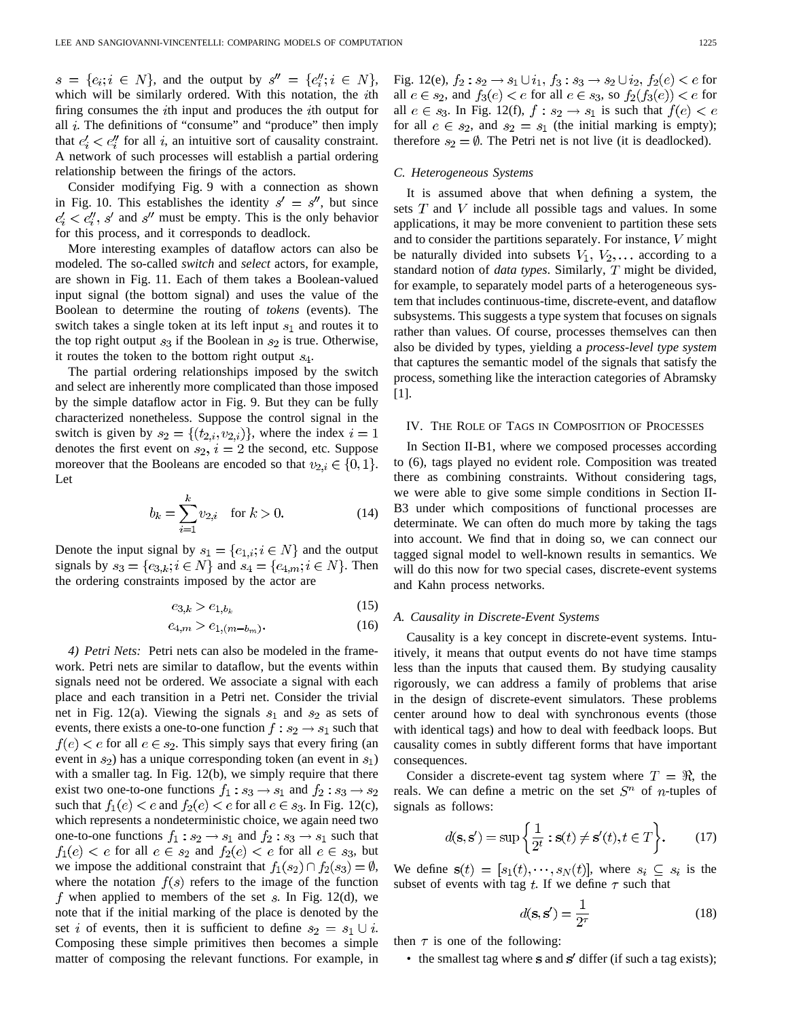$s = \{e_i; i \in N\}$ , and the output by  $s'' = \{e''_i; i \in N\}$ , which will be similarly ordered. With this notation, the  $i$ th firing consumes the  $i$ th input and produces the  $i$ th output for all  $i$ . The definitions of "consume" and "produce" then imply that  $e'_i < e''_i$  for all i, an intuitive sort of causality constraint. A network of such processes will establish a partial ordering relationship between the firings of the actors.

Consider modifying Fig. 9 with a connection as shown in Fig. 10. This establishes the identity  $s' = s''$ , but since  $e'_{i} < e''_{i}$ , s' and s'' must be empty. This is the only behavior for this process, and it corresponds to deadlock.

More interesting examples of dataflow actors can also be modeled. The so-called *switch* and *select* actors, for example, are shown in Fig. 11. Each of them takes a Boolean-valued input signal (the bottom signal) and uses the value of the Boolean to determine the routing of *tokens* (events). The switch takes a single token at its left input  $s<sub>1</sub>$  and routes it to the top right output  $s_3$  if the Boolean in  $s_2$  is true. Otherwise, it routes the token to the bottom right output  $s_4$ .

The partial ordering relationships imposed by the switch and select are inherently more complicated than those imposed by the simple dataflow actor in Fig. 9. But they can be fully characterized nonetheless. Suppose the control signal in the switch is given by  $s_2 = \{(t_{2,i}, v_{2,i})\}$ , where the index  $i = 1$ denotes the first event on  $s_2$ ,  $i = 2$  the second, etc. Suppose moreover that the Booleans are encoded so that  $v_{2,i} \in \{0,1\}.$ Let

$$
b_k = \sum_{i=1}^k v_{2,i} \quad \text{for } k > 0.
$$
 (14)

Denote the input signal by  $s_1 = \{e_{1,i}; i \in N\}$  and the output signals by  $s_3 = \{e_{3,k}; i \in N\}$  and  $s_4 = \{e_{4,m}; i \in N\}$ . Then the ordering constraints imposed by the actor are

$$
e_{3,k} > e_{1,b_k} \tag{15}
$$

$$
e_{4,m} > e_{1,(m-b_m)}.\t(16)
$$

*4) Petri Nets:* Petri nets can also be modeled in the framework. Petri nets are similar to dataflow, but the events within signals need not be ordered. We associate a signal with each place and each transition in a Petri net. Consider the trivial net in Fig. 12(a). Viewing the signals  $s_1$  and  $s_2$  as sets of events, there exists a one-to-one function  $f : s_2 \to s_1$  such that  $f(e) < e$  for all  $e \in s_2$ . This simply says that every firing (an event in  $s_2$ ) has a unique corresponding token (an event in  $s_1$ ) with a smaller tag. In Fig. 12(b), we simply require that there exist two one-to-one functions  $f_1$ :  $s_3 \rightarrow s_1$  and  $f_2$ :  $s_3 \rightarrow s_2$ such that  $f_1(e) < e$  and  $f_2(e) < e$  for all  $e \in s_3$ . In Fig. 12(c), which represents a nondeterministic choice, we again need two one-to-one functions  $f_1$ :  $s_2 \rightarrow s_1$  and  $f_2$ :  $s_3 \rightarrow s_1$  such that  $f_1(e) < e$  for all  $e \in s_2$  and  $f_2(e) < e$  for all  $e \in s_3$ , but we impose the additional constraint that  $f_1(s_2) \cap f_2(s_3) = \emptyset$ , where the notation  $f(s)$  refers to the image of the function f when applied to members of the set  $s$ . In Fig. 12(d), we note that if the initial marking of the place is denoted by the set i of events, then it is sufficient to define  $s_2 = s_1 \cup i$ . Composing these simple primitives then becomes a simple matter of composing the relevant functions. For example, in Fig. 12(e),  $f_2$ :  $s_2 \rightarrow s_1 \cup i_1$ ,  $f_3$ :  $s_3 \rightarrow s_2 \cup i_2$ ,  $f_2(e) < e$  for all  $e \in s_2$ , and  $f_3(e) < e$  for all  $e \in s_3$ , so  $f_2(f_3(e)) < e$  for all  $e \in s_3$ . In Fig. 12(f),  $f : s_2 \rightarrow s_1$  is such that  $f(e) < e$ for all  $e \in s_2$ , and  $s_2 = s_1$  (the initial marking is empty); therefore  $s_2 = \emptyset$ . The Petri net is not live (it is deadlocked).

## *C. Heterogeneous Systems*

It is assumed above that when defining a system, the sets  $T$  and  $V$  include all possible tags and values. In some applications, it may be more convenient to partition these sets and to consider the partitions separately. For instance,  $V$  might be naturally divided into subsets  $V_1, V_2, \ldots$  according to a standard notion of *data types*. Similarly,  $T$  might be divided, for example, to separately model parts of a heterogeneous system that includes continuous-time, discrete-event, and dataflow subsystems. This suggests a type system that focuses on signals rather than values. Of course, processes themselves can then also be divided by types, yielding a *process-level type system* that captures the semantic model of the signals that satisfy the process, something like the interaction categories of Abramsky [1].

### IV. THE ROLE OF TAGS IN COMPOSITION OF PROCESSES

In Section II-B1, where we composed processes according to (6), tags played no evident role. Composition was treated there as combining constraints. Without considering tags, we were able to give some simple conditions in Section II-B3 under which compositions of functional processes are determinate. We can often do much more by taking the tags into account. We find that in doing so, we can connect our tagged signal model to well-known results in semantics. We will do this now for two special cases, discrete-event systems and Kahn process networks.

#### *A. Causality in Discrete-Event Systems*

Causality is a key concept in discrete-event systems. Intuitively, it means that output events do not have time stamps less than the inputs that caused them. By studying causality rigorously, we can address a family of problems that arise in the design of discrete-event simulators. These problems center around how to deal with synchronous events (those with identical tags) and how to deal with feedback loops. But causality comes in subtly different forms that have important consequences.

Consider a discrete-event tag system where  $T = \Re$ , the reals. We can define a metric on the set  $S<sup>n</sup>$  of *n*-tuples of signals as follows:

$$
d(\mathbf{s}, \mathbf{s}') = \sup \left\{ \frac{1}{2^t} : \mathbf{s}(t) \neq \mathbf{s}'(t), t \in T \right\}.
$$
 (17)

We define  $s(t) = [s_1(t), \dots, s_N(t)]$ , where  $s_i \subseteq s_i$  is the subset of events with tag t. If we define  $\tau$  such that

$$
d(\mathbf{s}, \mathbf{s}') = \frac{1}{2^{\tau}} \tag{18}
$$

then  $\tau$  is one of the following:

• the smallest tag where  $s$  and  $s'$  differ (if such a tag exists);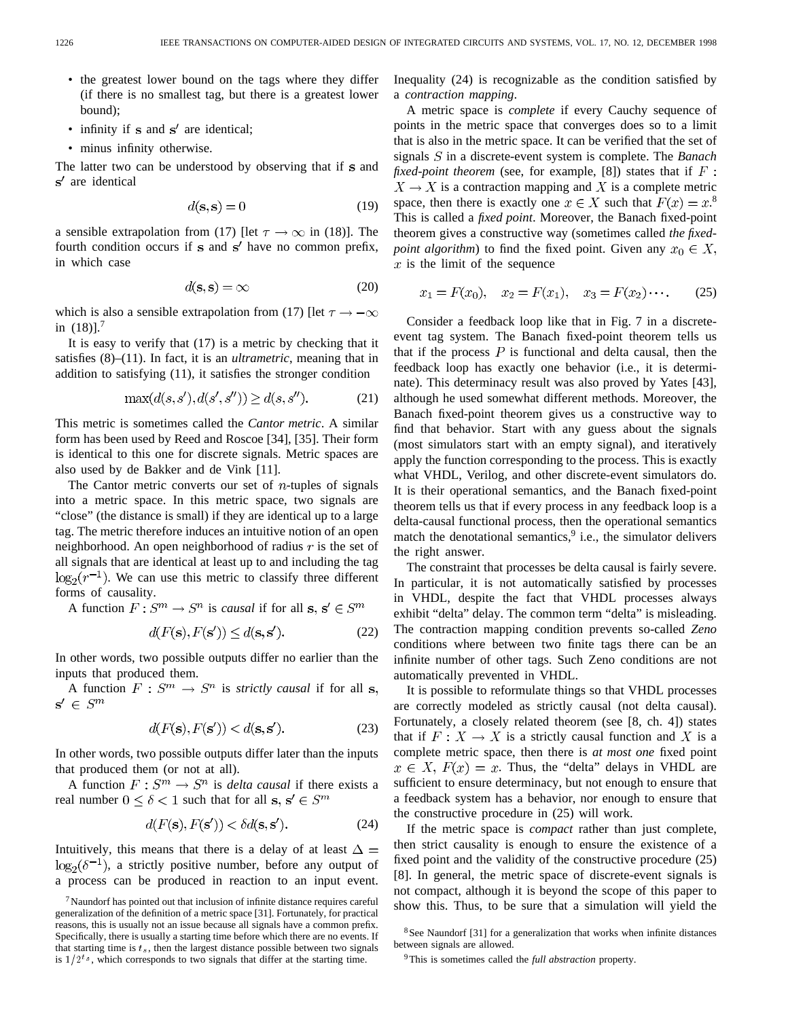- the greatest lower bound on the tags where they differ (if there is no smallest tag, but there is a greatest lower bound);
- infinity if  $s$  and  $s'$  are identical;
- minus infinity otherwise.

The latter two can be understood by observing that if s and  $s'$  are identical

$$
d(\mathbf{s}, \mathbf{s}) = 0 \tag{19}
$$

a sensible extrapolation from (17) [let  $\tau \to \infty$  in (18)]. The fourth condition occurs if  $s$  and  $s'$  have no common prefix, in which case

$$
d(\mathbf{s}, \mathbf{s}) = \infty \tag{20}
$$

which is also a sensible extrapolation from (17) [let  $\tau \to -\infty$ in  $(18)$ ].<sup>7</sup>

It is easy to verify that (17) is a metric by checking that it satisfies (8)–(11). In fact, it is an *ultrametric*, meaning that in addition to satisfying (11), it satisfies the stronger condition

$$
\max(d(s, s'), d(s', s'')) \ge d(s, s''). \tag{21}
$$

This metric is sometimes called the *Cantor metric*. A similar form has been used by Reed and Roscoe [34], [35]. Their form is identical to this one for discrete signals. Metric spaces are also used by de Bakker and de Vink [11].

The Cantor metric converts our set of  $n$ -tuples of signals into a metric space. In this metric space, two signals are "close" (the distance is small) if they are identical up to a large tag. The metric therefore induces an intuitive notion of an open neighborhood. An open neighborhood of radius  $r$  is the set of all signals that are identical at least up to and including the tag  $\log_2(r^{-1})$ . We can use this metric to classify three different forms of causality.

A function  $F: S^m \to S^n$  is *causal* if for all  $s, s' \in S^m$ 

$$
d(F(\mathbf{s}), F(\mathbf{s}')) \le d(\mathbf{s}, \mathbf{s}'). \tag{22}
$$

In other words, two possible outputs differ no earlier than the inputs that produced them.

A function  $F: S^m \to S^n$  is *strictly causal* if for all **s**,  $\mathbf{s}' \in S^m$ 

$$
d(F(\mathbf{s}), F(\mathbf{s}')) < d(\mathbf{s}, \mathbf{s}'). \tag{23}
$$

In other words, two possible outputs differ later than the inputs that produced them (or not at all).

A function  $F: S^m \to S^n$  is *delta causal* if there exists a real number  $0 \le \delta < 1$  such that for all  $s, s' \in S^m$ 

$$
d(F(\mathbf{s}), F(\mathbf{s}')) < \delta d(\mathbf{s}, \mathbf{s}'). \tag{24}
$$

Intuitively, this means that there is a delay of at least  $\Delta =$  $\log_2(\delta^{-1})$ , a strictly positive number, before any output of a process can be produced in reaction to an input event.

Inequality (24) is recognizable as the condition satisfied by a *contraction mapping*.

A metric space is *complete* if every Cauchy sequence of points in the metric space that converges does so to a limit that is also in the metric space. It can be verified that the set of signals S in a discrete-event system is complete. The *Banach fixed-point theorem* (see, for example, [8]) states that if  $F$ :  $X \to X$  is a contraction mapping and X is a complete metric space, then there is exactly one  $x \in X$  such that  $F(x) = x^{8}$ . This is called a *fixed point*. Moreover, the Banach fixed-point theorem gives a constructive way (sometimes called *the fixedpoint algorithm*) to find the fixed point. Given any  $x_0 \in X$ ,  $x$  is the limit of the sequence

$$
x_1 = F(x_0), \quad x_2 = F(x_1), \quad x_3 = F(x_2) \cdots.
$$
 (25)

Consider a feedback loop like that in Fig. 7 in a discreteevent tag system. The Banach fixed-point theorem tells us that if the process  $P$  is functional and delta causal, then the feedback loop has exactly one behavior (i.e., it is determinate). This determinacy result was also proved by Yates [43], although he used somewhat different methods. Moreover, the Banach fixed-point theorem gives us a constructive way to find that behavior. Start with any guess about the signals (most simulators start with an empty signal), and iteratively apply the function corresponding to the process. This is exactly what VHDL, Verilog, and other discrete-event simulators do. It is their operational semantics, and the Banach fixed-point theorem tells us that if every process in any feedback loop is a delta-causal functional process, then the operational semantics match the denotational semantics, $9$  i.e., the simulator delivers the right answer.

The constraint that processes be delta causal is fairly severe. In particular, it is not automatically satisfied by processes in VHDL, despite the fact that VHDL processes always exhibit "delta" delay. The common term "delta" is misleading. The contraction mapping condition prevents so-called *Zeno* conditions where between two finite tags there can be an infinite number of other tags. Such Zeno conditions are not automatically prevented in VHDL.

It is possible to reformulate things so that VHDL processes are correctly modeled as strictly causal (not delta causal). Fortunately, a closely related theorem (see [8, ch. 4]) states that if  $F: X \to X$  is a strictly causal function and X is a complete metric space, then there is *at most one* fixed point  $x \in X$ ,  $F(x) = x$ . Thus, the "delta" delays in VHDL are sufficient to ensure determinacy, but not enough to ensure that a feedback system has a behavior, nor enough to ensure that the constructive procedure in (25) will work.

If the metric space is *compact* rather than just complete, then strict causality is enough to ensure the existence of a fixed point and the validity of the constructive procedure (25) [8]. In general, the metric space of discrete-event signals is not compact, although it is beyond the scope of this paper to show this. Thus, to be sure that a simulation will yield the

<sup>7</sup>Naundorf has pointed out that inclusion of infinite distance requires careful generalization of the definition of a metric space [31]. Fortunately, for practical reasons, this is usually not an issue because all signals have a common prefix. Specifically, there is usually a starting time before which there are no events. If that starting time is  $t_s$ , then the largest distance possible between two signals is  $1/2^{t_s}$ , which corresponds to two signals that differ at the starting time.

 $8$ See Naundorf [31] for a generalization that works when infinite distances between signals are allowed.

<sup>9</sup>This is sometimes called the *full abstraction* property.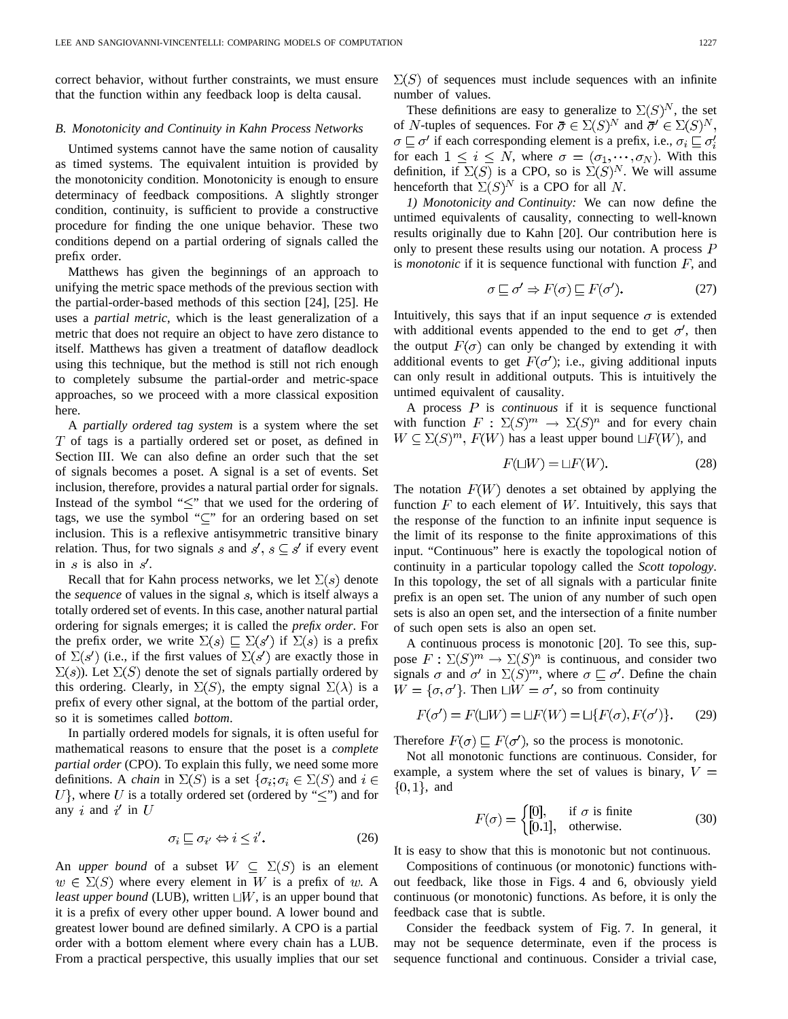correct behavior, without further constraints, we must ensure that the function within any feedback loop is delta causal.

### *B. Monotonicity and Continuity in Kahn Process Networks*

Untimed systems cannot have the same notion of causality as timed systems. The equivalent intuition is provided by the monotonicity condition. Monotonicity is enough to ensure determinacy of feedback compositions. A slightly stronger condition, continuity, is sufficient to provide a constructive procedure for finding the one unique behavior. These two conditions depend on a partial ordering of signals called the prefix order.

Matthews has given the beginnings of an approach to unifying the metric space methods of the previous section with the partial-order-based methods of this section [24], [25]. He uses a *partial metric*, which is the least generalization of a metric that does not require an object to have zero distance to itself. Matthews has given a treatment of dataflow deadlock using this technique, but the method is still not rich enough to completely subsume the partial-order and metric-space approaches, so we proceed with a more classical exposition here.

A *partially ordered tag system* is a system where the set  $T$  of tags is a partially ordered set or poset, as defined in Section III. We can also define an order such that the set of signals becomes a poset. A signal is a set of events. Set inclusion, therefore, provides a natural partial order for signals. Instead of the symbol " $\leq$ " that we used for the ordering of tags, we use the symbol " $\subseteq$ " for an ordering based on set inclusion. This is a reflexive antisymmetric transitive binary relation. Thus, for two signals s and  $s'$ ,  $s \subseteq s'$  if every event in  $s$  is also in  $s'$ .

Recall that for Kahn process networks, we let  $\Sigma(s)$  denote the *sequence* of values in the signal s, which is itself always a totally ordered set of events. In this case, another natural partial ordering for signals emerges; it is called the *prefix order*. For the prefix order, we write  $\Sigma(s) \sqsubset \Sigma(s')$  if  $\Sigma(s)$  is a prefix of  $\Sigma(s')$  (i.e., if the first values of  $\Sigma(s')$  are exactly those in  $\Sigma(s)$ ). Let  $\Sigma(S)$  denote the set of signals partially ordered by this ordering. Clearly, in  $\Sigma(S)$ , the empty signal  $\Sigma(\lambda)$  is a prefix of every other signal, at the bottom of the partial order, so it is sometimes called *bottom*.

In partially ordered models for signals, it is often useful for mathematical reasons to ensure that the poset is a *complete partial order* (CPO). To explain this fully, we need some more definitions. A *chain* in  $\Sigma(S)$  is a set  $\{\sigma_i; \sigma_i \in \Sigma(S) \}$  and  $i \in$  $U$ , where U is a totally ordered set (ordered by " $\le$ ") and for any  $i$  and  $i'$  in  $U$ 

$$
\sigma_i \sqsubseteq \sigma_{i'} \Leftrightarrow i \leq i'.\tag{26}
$$

An *upper bound* of a subset  $W \subseteq \Sigma(S)$  is an element  $w \in \Sigma(S)$  where every element in W is a prefix of w. A *least upper bound* (LUB), written  $\Box W$ , is an upper bound that it is a prefix of every other upper bound. A lower bound and greatest lower bound are defined similarly. A CPO is a partial order with a bottom element where every chain has a LUB. From a practical perspective, this usually implies that our set

 $\Sigma(S)$  of sequences must include sequences with an infinite number of values.

These definitions are easy to generalize to  $\Sigma(S)^N$ , the set of N-tuples of sequences. For  $\bar{\sigma} \in \Sigma(S)^N$  and  $\bar{\sigma}' \in \Sigma(S)^N$ ,  $\sigma \sqsubseteq \sigma'$  if each corresponding element is a prefix, i.e.,  $\sigma_i \sqsubseteq \sigma'_i$ for each  $1 \leq i \leq N$ , where  $\sigma = (\sigma_1, \dots, \sigma_N)$ . With this definition, if  $\Sigma(S)$  is a CPO, so is  $\Sigma(S)^N$ . We will assume henceforth that  $\Sigma(S)^N$  is a CPO for all N.

*1) Monotonicity and Continuity:* We can now define the untimed equivalents of causality, connecting to well-known results originally due to Kahn [20]. Our contribution here is only to present these results using our notation. A process  $P$ is *monotonic* if it is sequence functional with function  $F$ , and

 $\sigma$ 

$$
\subseteq \sigma' \Rightarrow F(\sigma) \sqsubseteq F(\sigma'). \tag{27}
$$

Intuitively, this says that if an input sequence  $\sigma$  is extended with additional events appended to the end to get  $\sigma'$ , then the output  $F(\sigma)$  can only be changed by extending it with additional events to get  $F(\sigma')$ ; i.e., giving additional inputs can only result in additional outputs. This is intuitively the untimed equivalent of causality.

A process  $P$  is *continuous* if it is sequence functional with function  $F: \Sigma(S)^m \to \Sigma(S)^n$  and for every chain  $W \subseteq \Sigma(S)^m$ ,  $F(W)$  has a least upper bound  $\Box F(W)$ , and

$$
F(\sqcup W) = \sqcup F(W). \tag{28}
$$

The notation  $F(W)$  denotes a set obtained by applying the function  $F$  to each element of  $W$ . Intuitively, this says that the response of the function to an infinite input sequence is the limit of its response to the finite approximations of this input. "Continuous" here is exactly the topological notion of continuity in a particular topology called the *Scott topology*. In this topology, the set of all signals with a particular finite prefix is an open set. The union of any number of such open sets is also an open set, and the intersection of a finite number of such open sets is also an open set.

A continuous process is monotonic [20]. To see this, suppose  $F: \Sigma(S)^m \to \Sigma(S)^n$  is continuous, and consider two signals  $\sigma$  and  $\sigma'$  in  $\Sigma(S)^m$ , where  $\sigma \sqsubseteq \sigma'$ . Define the chain  $W = {\sigma, \sigma'}$ . Then  $\Box W = \sigma'$ , so from continuity

$$
F(\sigma') = F(\sqcup W) = \sqcup F(W) = \sqcup \{F(\sigma), F(\sigma')\}.
$$
 (29)

Therefore  $F(\sigma) \sqsubseteq F(\sigma')$ , so the process is monotonic.

Not all monotonic functions are continuous. Consider, for example, a system where the set of values is binary,  $V =$  $\{0,1\}$ , and

$$
F(\sigma) = \begin{cases} [0], & \text{if } \sigma \text{ is finite} \\ [0.1], & \text{otherwise.} \end{cases}
$$
 (30)

It is easy to show that this is monotonic but not continuous.

Compositions of continuous (or monotonic) functions without feedback, like those in Figs. 4 and 6, obviously yield continuous (or monotonic) functions. As before, it is only the feedback case that is subtle.

Consider the feedback system of Fig. 7. In general, it may not be sequence determinate, even if the process is sequence functional and continuous. Consider a trivial case,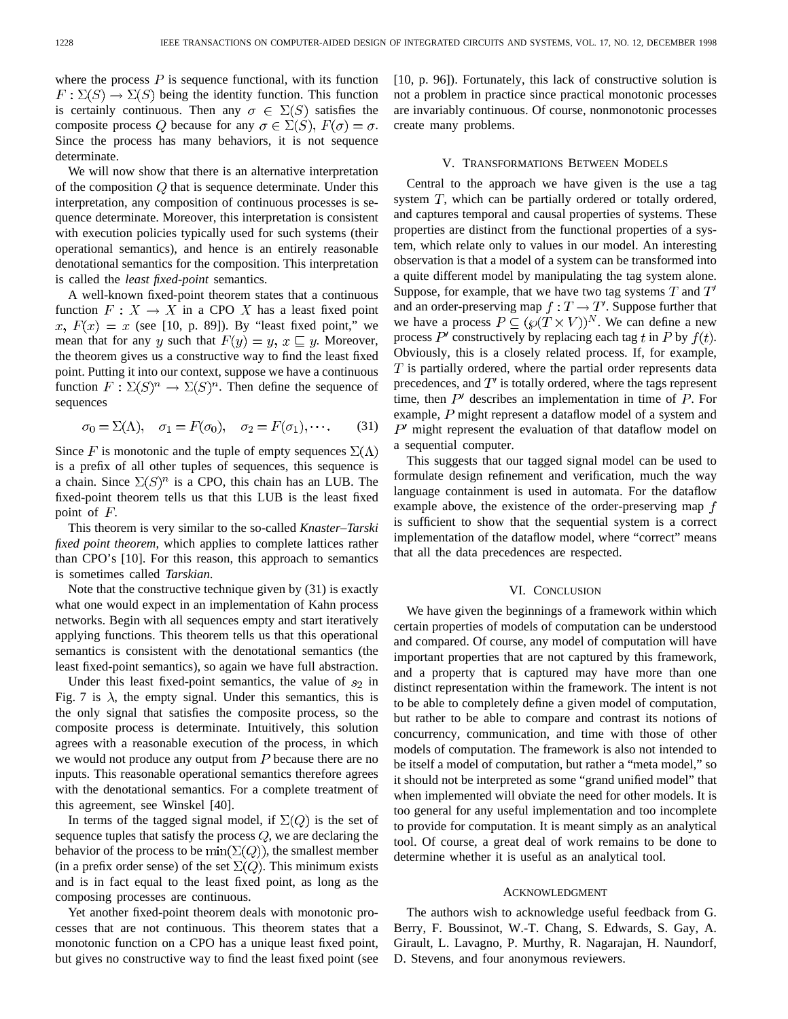where the process  $P$  is sequence functional, with its function  $F: \Sigma(S) \to \Sigma(S)$  being the identity function. This function is certainly continuous. Then any  $\sigma \in \Sigma(S)$  satisfies the composite process Q because for any  $\sigma \in \Sigma(S)$ ,  $F(\sigma) = \sigma$ . Since the process has many behaviors, it is not sequence determinate.

We will now show that there is an alternative interpretation of the composition  $Q$  that is sequence determinate. Under this interpretation, any composition of continuous processes is sequence determinate. Moreover, this interpretation is consistent with execution policies typically used for such systems (their operational semantics), and hence is an entirely reasonable denotational semantics for the composition. This interpretation is called the *least fixed-point* semantics.

A well-known fixed-point theorem states that a continuous function  $F: X \to X$  in a CPO X has a least fixed point  $x, F(x) = x$  (see [10, p. 89]). By "least fixed point," we mean that for any y such that  $F(y) = y$ ,  $x \sqsubseteq y$ . Moreover, the theorem gives us a constructive way to find the least fixed point. Putting it into our context, suppose we have a continuous function  $F: \Sigma(S)^n \to \Sigma(S)^n$ . Then define the sequence of sequences

$$
\sigma_0 = \Sigma(\Lambda), \quad \sigma_1 = F(\sigma_0), \quad \sigma_2 = F(\sigma_1), \cdots. \tag{31}
$$

Since F is monotonic and the tuple of empty sequences  $\Sigma(\Lambda)$ is a prefix of all other tuples of sequences, this sequence is a chain. Since  $\Sigma(S)^n$  is a CPO, this chain has an LUB. The fixed-point theorem tells us that this LUB is the least fixed point of  $F$ .

This theorem is very similar to the so-called *Knaster–Tarski fixed point theorem*, which applies to complete lattices rather than CPO's [10]. For this reason, this approach to semantics is sometimes called *Tarskian*.

Note that the constructive technique given by (31) is exactly what one would expect in an implementation of Kahn process networks. Begin with all sequences empty and start iteratively applying functions. This theorem tells us that this operational semantics is consistent with the denotational semantics (the least fixed-point semantics), so again we have full abstraction.

Under this least fixed-point semantics, the value of  $s_2$  in Fig. 7 is  $\lambda$ , the empty signal. Under this semantics, this is the only signal that satisfies the composite process, so the composite process is determinate. Intuitively, this solution agrees with a reasonable execution of the process, in which we would not produce any output from  $P$  because there are no inputs. This reasonable operational semantics therefore agrees with the denotational semantics. For a complete treatment of this agreement, see Winskel [40].

In terms of the tagged signal model, if  $\Sigma(Q)$  is the set of sequence tuples that satisfy the process  $Q$ , we are declaring the behavior of the process to be  $\min(\Sigma(Q))$ , the smallest member (in a prefix order sense) of the set  $\Sigma(Q)$ . This minimum exists and is in fact equal to the least fixed point, as long as the composing processes are continuous.

Yet another fixed-point theorem deals with monotonic processes that are not continuous. This theorem states that a monotonic function on a CPO has a unique least fixed point, but gives no constructive way to find the least fixed point (see [10, p. 96]). Fortunately, this lack of constructive solution is not a problem in practice since practical monotonic processes are invariably continuous. Of course, nonmonotonic processes create many problems.

## V. TRANSFORMATIONS BETWEEN MODELS

Central to the approach we have given is the use a tag system  $T$ , which can be partially ordered or totally ordered, and captures temporal and causal properties of systems. These properties are distinct from the functional properties of a system, which relate only to values in our model. An interesting observation is that a model of a system can be transformed into a quite different model by manipulating the tag system alone. Suppose, for example, that we have two tag systems  $T$  and  $T'$ and an order-preserving map  $f: T \to T'$ . Suppose further that we have a process  $P \subseteq (\wp(T \times V))^N$ . We can define a new process P' constructively by replacing each tag t in P by  $f(t)$ . Obviously, this is a closely related process. If, for example,  $T$  is partially ordered, where the partial order represents data precedences, and  $T'$  is totally ordered, where the tags represent time, then  $P'$  describes an implementation in time of  $P$ . For example,  $P$  might represent a dataflow model of a system and  $P'$  might represent the evaluation of that dataflow model on a sequential computer.

This suggests that our tagged signal model can be used to formulate design refinement and verification, much the way language containment is used in automata. For the dataflow example above, the existence of the order-preserving map  $f$ is sufficient to show that the sequential system is a correct implementation of the dataflow model, where "correct" means that all the data precedences are respected.

### VI. CONCLUSION

We have given the beginnings of a framework within which certain properties of models of computation can be understood and compared. Of course, any model of computation will have important properties that are not captured by this framework, and a property that is captured may have more than one distinct representation within the framework. The intent is not to be able to completely define a given model of computation, but rather to be able to compare and contrast its notions of concurrency, communication, and time with those of other models of computation. The framework is also not intended to be itself a model of computation, but rather a "meta model," so it should not be interpreted as some "grand unified model" that when implemented will obviate the need for other models. It is too general for any useful implementation and too incomplete to provide for computation. It is meant simply as an analytical tool. Of course, a great deal of work remains to be done to determine whether it is useful as an analytical tool.

### ACKNOWLEDGMENT

The authors wish to acknowledge useful feedback from G. Berry, F. Boussinot, W.-T. Chang, S. Edwards, S. Gay, A. Girault, L. Lavagno, P. Murthy, R. Nagarajan, H. Naundorf, D. Stevens, and four anonymous reviewers.